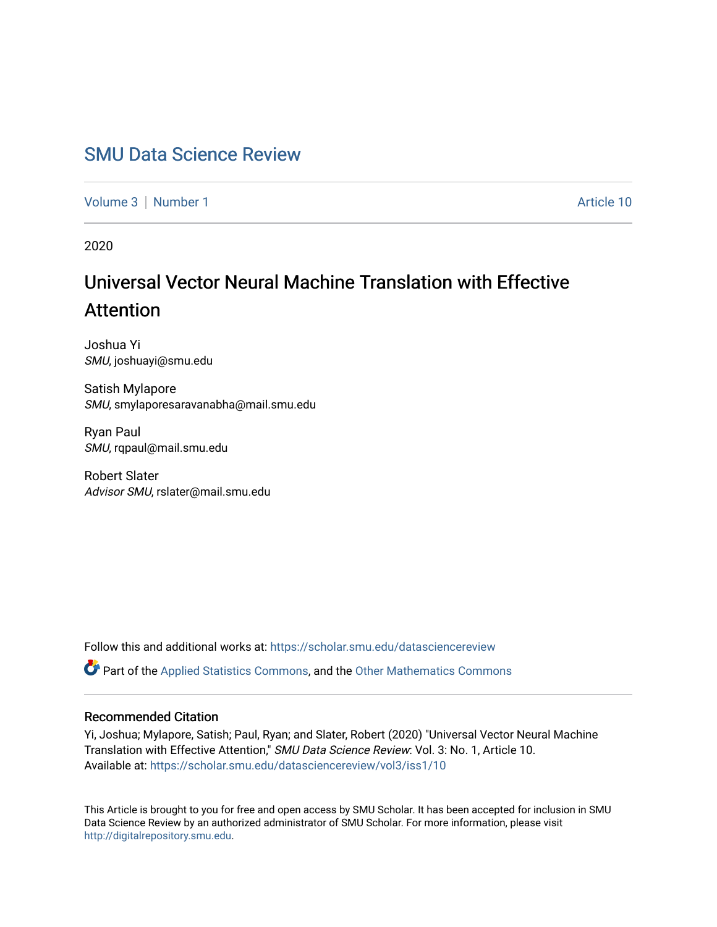# [SMU Data Science Review](https://scholar.smu.edu/datasciencereview)

[Volume 3](https://scholar.smu.edu/datasciencereview/vol3) | [Number 1](https://scholar.smu.edu/datasciencereview/vol3/iss1) Article 10

2020

# Universal Vector Neural Machine Translation with Effective Attention

Joshua Yi SMU, joshuayi@smu.edu

Satish Mylapore SMU, smylaporesaravanabha@mail.smu.edu

Ryan Paul SMU, rqpaul@mail.smu.edu

Robert Slater Advisor SMU, rslater@mail.smu.edu

Follow this and additional works at: [https://scholar.smu.edu/datasciencereview](https://scholar.smu.edu/datasciencereview?utm_source=scholar.smu.edu%2Fdatasciencereview%2Fvol3%2Fiss1%2F10&utm_medium=PDF&utm_campaign=PDFCoverPages)

Part of the [Applied Statistics Commons](http://network.bepress.com/hgg/discipline/209?utm_source=scholar.smu.edu%2Fdatasciencereview%2Fvol3%2Fiss1%2F10&utm_medium=PDF&utm_campaign=PDFCoverPages), and the [Other Mathematics Commons](http://network.bepress.com/hgg/discipline/185?utm_source=scholar.smu.edu%2Fdatasciencereview%2Fvol3%2Fiss1%2F10&utm_medium=PDF&utm_campaign=PDFCoverPages)

# Recommended Citation

Yi, Joshua; Mylapore, Satish; Paul, Ryan; and Slater, Robert (2020) "Universal Vector Neural Machine Translation with Effective Attention," SMU Data Science Review: Vol. 3: No. 1, Article 10. Available at: [https://scholar.smu.edu/datasciencereview/vol3/iss1/10](https://scholar.smu.edu/datasciencereview/vol3/iss1/10?utm_source=scholar.smu.edu%2Fdatasciencereview%2Fvol3%2Fiss1%2F10&utm_medium=PDF&utm_campaign=PDFCoverPages)

This Article is brought to you for free and open access by SMU Scholar. It has been accepted for inclusion in SMU Data Science Review by an authorized administrator of SMU Scholar. For more information, please visit [http://digitalrepository.smu.edu.](http://digitalrepository.smu.edu/)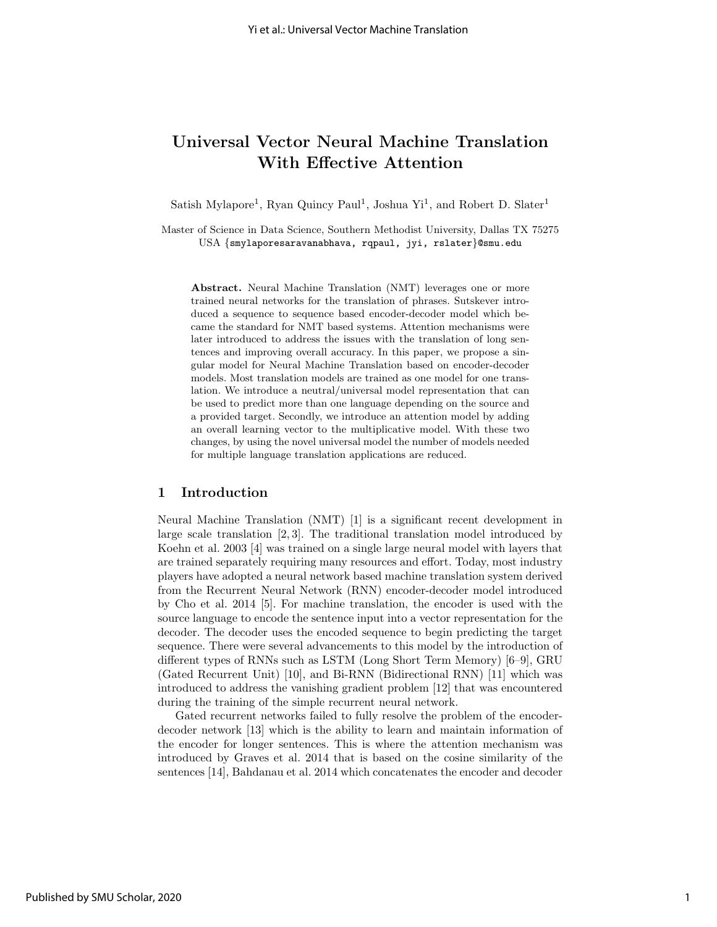# Universal Vector Neural Machine Translation With Effective Attention

Satish Mylapore<sup>1</sup>, Ryan Quincy Paul<sup>1</sup>, Joshua Yi<sup>1</sup>, and Robert D. Slater<sup>1</sup>

Master of Science in Data Science, Southern Methodist University, Dallas TX 75275 USA {smylaporesaravanabhava, rqpaul, jyi, rslater}@smu.edu

Abstract. Neural Machine Translation (NMT) leverages one or more trained neural networks for the translation of phrases. Sutskever introduced a sequence to sequence based encoder-decoder model which became the standard for NMT based systems. Attention mechanisms were later introduced to address the issues with the translation of long sentences and improving overall accuracy. In this paper, we propose a singular model for Neural Machine Translation based on encoder-decoder models. Most translation models are trained as one model for one translation. We introduce a neutral/universal model representation that can be used to predict more than one language depending on the source and a provided target. Secondly, we introduce an attention model by adding an overall learning vector to the multiplicative model. With these two changes, by using the novel universal model the number of models needed for multiple language translation applications are reduced.

#### 1 Introduction

Neural Machine Translation (NMT) [1] is a significant recent development in large scale translation [2, 3]. The traditional translation model introduced by Koehn et al. 2003 [4] was trained on a single large neural model with layers that are trained separately requiring many resources and effort. Today, most industry players have adopted a neural network based machine translation system derived from the Recurrent Neural Network (RNN) encoder-decoder model introduced by Cho et al. 2014 [5]. For machine translation, the encoder is used with the source language to encode the sentence input into a vector representation for the decoder. The decoder uses the encoded sequence to begin predicting the target sequence. There were several advancements to this model by the introduction of different types of RNNs such as LSTM (Long Short Term Memory) [6–9], GRU (Gated Recurrent Unit) [10], and Bi-RNN (Bidirectional RNN) [11] which was introduced to address the vanishing gradient problem [12] that was encountered during the training of the simple recurrent neural network.

Gated recurrent networks failed to fully resolve the problem of the encoderdecoder network [13] which is the ability to learn and maintain information of the encoder for longer sentences. This is where the attention mechanism was introduced by Graves et al. 2014 that is based on the cosine similarity of the sentences [14], Bahdanau et al. 2014 which concatenates the encoder and decoder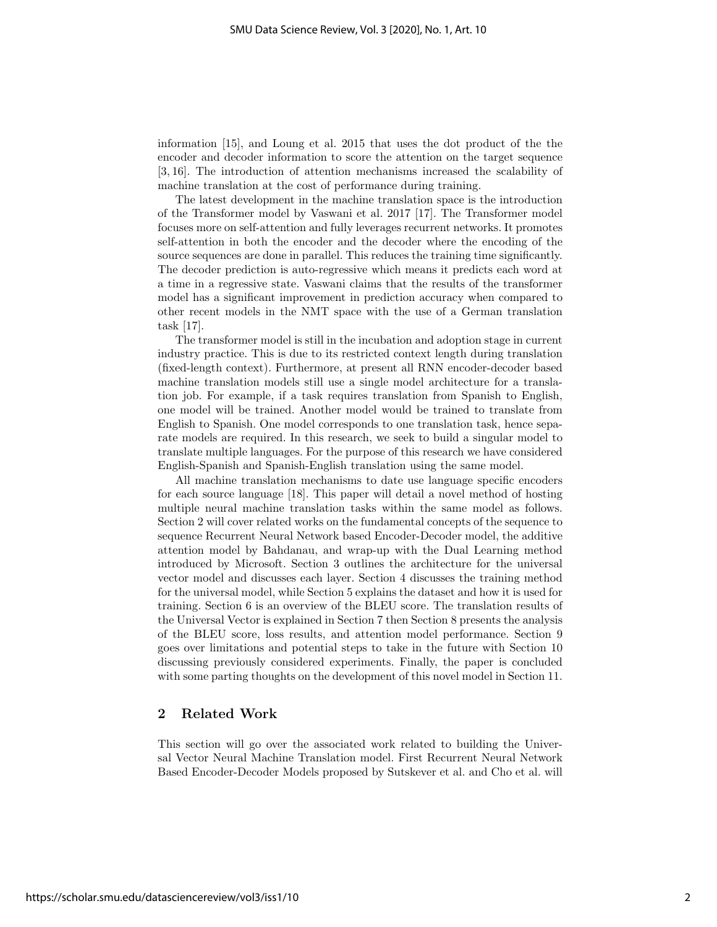information [15], and Loung et al. 2015 that uses the dot product of the the encoder and decoder information to score the attention on the target sequence [3, 16]. The introduction of attention mechanisms increased the scalability of machine translation at the cost of performance during training.

The latest development in the machine translation space is the introduction of the Transformer model by Vaswani et al. 2017 [17]. The Transformer model focuses more on self-attention and fully leverages recurrent networks. It promotes self-attention in both the encoder and the decoder where the encoding of the source sequences are done in parallel. This reduces the training time significantly. The decoder prediction is auto-regressive which means it predicts each word at a time in a regressive state. Vaswani claims that the results of the transformer model has a significant improvement in prediction accuracy when compared to other recent models in the NMT space with the use of a German translation task [17].

The transformer model is still in the incubation and adoption stage in current industry practice. This is due to its restricted context length during translation (fixed-length context). Furthermore, at present all RNN encoder-decoder based machine translation models still use a single model architecture for a translation job. For example, if a task requires translation from Spanish to English, one model will be trained. Another model would be trained to translate from English to Spanish. One model corresponds to one translation task, hence separate models are required. In this research, we seek to build a singular model to translate multiple languages. For the purpose of this research we have considered English-Spanish and Spanish-English translation using the same model.

All machine translation mechanisms to date use language specific encoders for each source language [18]. This paper will detail a novel method of hosting multiple neural machine translation tasks within the same model as follows. Section 2 will cover related works on the fundamental concepts of the sequence to sequence Recurrent Neural Network based Encoder-Decoder model, the additive attention model by Bahdanau, and wrap-up with the Dual Learning method introduced by Microsoft. Section 3 outlines the architecture for the universal vector model and discusses each layer. Section 4 discusses the training method for the universal model, while Section 5 explains the dataset and how it is used for training. Section 6 is an overview of the BLEU score. The translation results of the Universal Vector is explained in Section 7 then Section 8 presents the analysis of the BLEU score, loss results, and attention model performance. Section 9 goes over limitations and potential steps to take in the future with Section 10 discussing previously considered experiments. Finally, the paper is concluded with some parting thoughts on the development of this novel model in Section 11.

# 2 Related Work

This section will go over the associated work related to building the Universal Vector Neural Machine Translation model. First Recurrent Neural Network Based Encoder-Decoder Models proposed by Sutskever et al. and Cho et al. will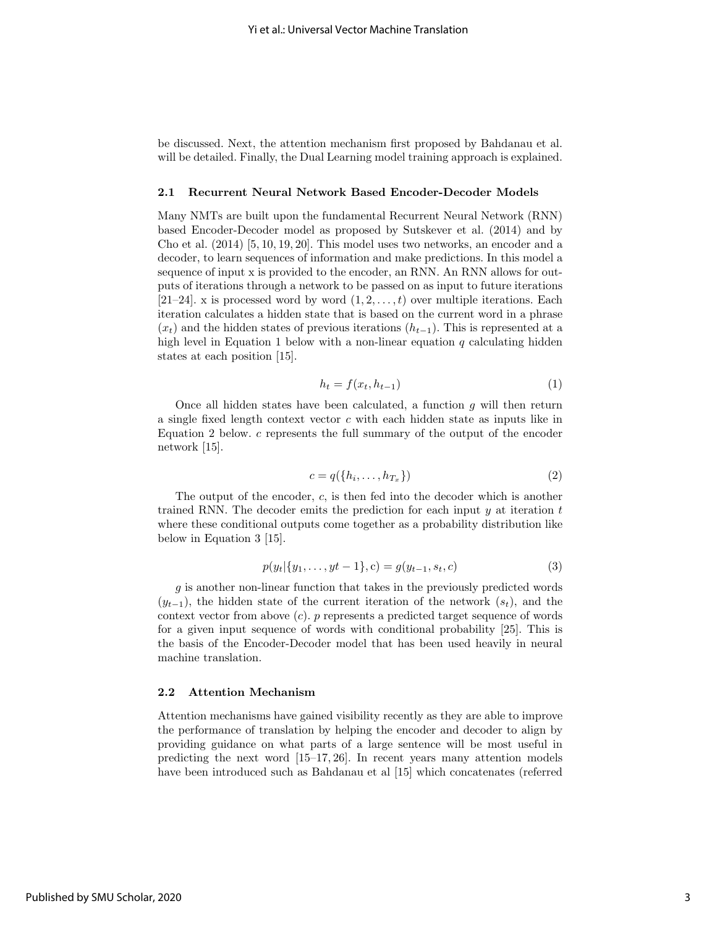be discussed. Next, the attention mechanism first proposed by Bahdanau et al. will be detailed. Finally, the Dual Learning model training approach is explained.

#### 2.1 Recurrent Neural Network Based Encoder-Decoder Models

Many NMTs are built upon the fundamental Recurrent Neural Network (RNN) based Encoder-Decoder model as proposed by Sutskever et al. (2014) and by Cho et al. (2014) [5, 10, 19, 20]. This model uses two networks, an encoder and a decoder, to learn sequences of information and make predictions. In this model a sequence of input x is provided to the encoder, an RNN. An RNN allows for outputs of iterations through a network to be passed on as input to future iterations [21–24]. x is processed word by word  $(1, 2, \ldots, t)$  over multiple iterations. Each iteration calculates a hidden state that is based on the current word in a phrase  $(x<sub>t</sub>)$  and the hidden states of previous iterations  $(h<sub>t-1</sub>)$ . This is represented at a high level in Equation 1 below with a non-linear equation  $q$  calculating hidden states at each position [15].

$$
h_t = f(x_t, h_{t-1})
$$
\n<sup>(1)</sup>

Once all hidden states have been calculated, a function  $g$  will then return a single fixed length context vector c with each hidden state as inputs like in Equation 2 below. c represents the full summary of the output of the encoder network [15].

$$
c = q(\{h_i, \dots, h_{T_x}\})
$$
\n<sup>(2)</sup>

The output of the encoder, c, is then fed into the decoder which is another trained RNN. The decoder emits the prediction for each input  $y$  at iteration  $t$ where these conditional outputs come together as a probability distribution like below in Equation 3 [15].

$$
p(y_t | \{y_1, \ldots, y_t - 1\}, c) = g(y_{t-1}, s_t, c)
$$
\n<sup>(3)</sup>

g is another non-linear function that takes in the previously predicted words  $(y_{t-1})$ , the hidden state of the current iteration of the network  $(s_t)$ , and the context vector from above  $(c)$ . p represents a predicted target sequence of words for a given input sequence of words with conditional probability [25]. This is the basis of the Encoder-Decoder model that has been used heavily in neural machine translation.

#### 2.2 Attention Mechanism

Attention mechanisms have gained visibility recently as they are able to improve the performance of translation by helping the encoder and decoder to align by providing guidance on what parts of a large sentence will be most useful in predicting the next word [15–17, 26]. In recent years many attention models have been introduced such as Bahdanau et al [15] which concatenates (referred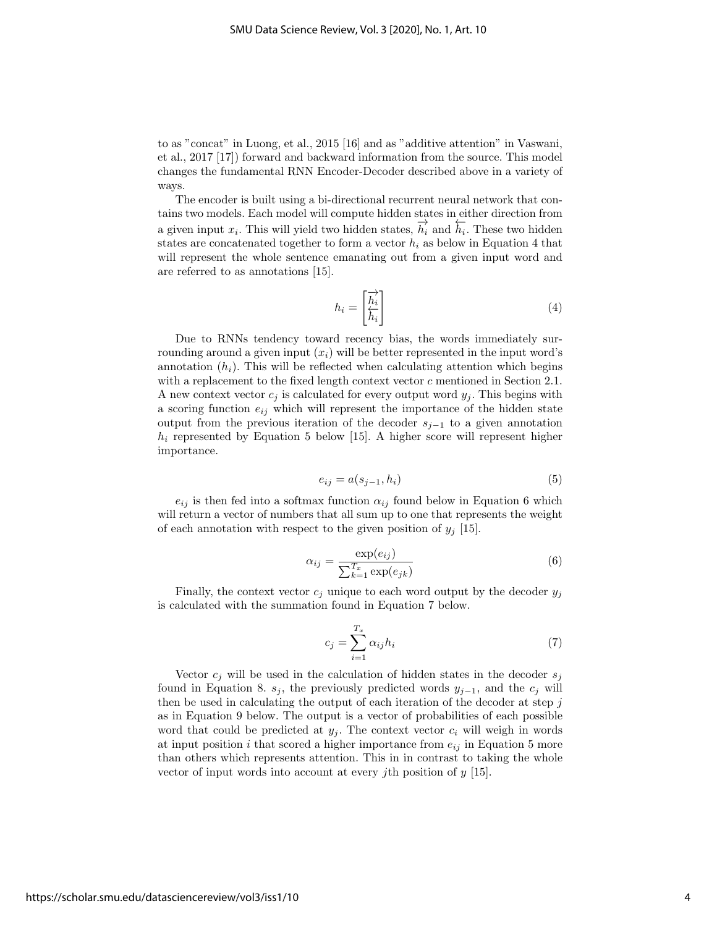to as "concat" in Luong, et al., 2015 [16] and as "additive attention" in Vaswani, et al., 2017 [17]) forward and backward information from the source. This model changes the fundamental RNN Encoder-Decoder described above in a variety of ways.

The encoder is built using a bi-directional recurrent neural network that contains two models. Each model will compute hidden states in either direction from a given input  $x_i$ . This will yield two hidden states,  $\overrightarrow{h_i}$  and  $\overleftarrow{h_i}$ . These two hidden states are concatenated together to form a vector  $h_i$  as below in Equation 4 that will represent the whole sentence emanating out from a given input word and are referred to as annotations [15].

$$
h_i = \begin{bmatrix} \overrightarrow{h_i} \\ \overleftarrow{h_i} \end{bmatrix} \tag{4}
$$

Due to RNNs tendency toward recency bias, the words immediately surrounding around a given input  $(x_i)$  will be better represented in the input word's annotation  $(h_i)$ . This will be reflected when calculating attention which begins with a replacement to the fixed length context vector  $c$  mentioned in Section 2.1. A new context vector  $c_j$  is calculated for every output word  $y_j$ . This begins with a scoring function  $e_{ij}$  which will represent the importance of the hidden state output from the previous iteration of the decoder  $s_{i-1}$  to a given annotation  $h_i$  represented by Equation 5 below [15]. A higher score will represent higher importance.

$$
e_{ij} = a(s_{j-1}, h_i) \tag{5}
$$

 $e_{ij}$  is then fed into a softmax function  $\alpha_{ij}$  found below in Equation 6 which will return a vector of numbers that all sum up to one that represents the weight of each annotation with respect to the given position of  $y_j$  [15].

$$
\alpha_{ij} = \frac{\exp(e_{ij})}{\sum_{k=1}^{T_x} \exp(e_{jk})}
$$
(6)

Finally, the context vector  $c_j$  unique to each word output by the decoder  $y_j$ is calculated with the summation found in Equation 7 below.

$$
c_j = \sum_{i=1}^{T_x} \alpha_{ij} h_i \tag{7}
$$

Vector  $c_i$  will be used in the calculation of hidden states in the decoder  $s_i$ found in Equation 8.  $s_j$ , the previously predicted words  $y_{j-1}$ , and the  $c_j$  will then be used in calculating the output of each iteration of the decoder at step  $j$ as in Equation 9 below. The output is a vector of probabilities of each possible word that could be predicted at  $y_j$ . The context vector  $c_i$  will weigh in words at input position i that scored a higher importance from  $e_{ij}$  in Equation 5 more than others which represents attention. This in in contrast to taking the whole vector of input words into account at every jth position of  $y$  [15].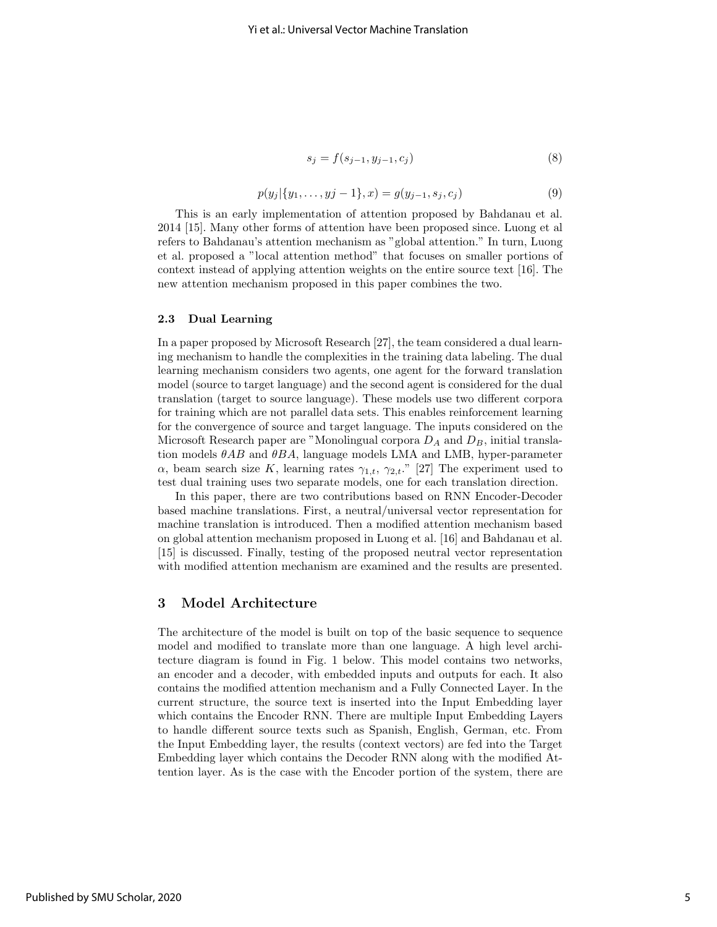$$
s_j = f(s_{j-1}, y_{j-1}, c_j)
$$
\n(8)

$$
p(y_j | \{y_1, \ldots, y_j - 1\}, x) = g(y_{j-1}, s_j, c_j)
$$
\n<sup>(9)</sup>

This is an early implementation of attention proposed by Bahdanau et al. 2014 [15]. Many other forms of attention have been proposed since. Luong et al refers to Bahdanau's attention mechanism as "global attention." In turn, Luong et al. proposed a "local attention method" that focuses on smaller portions of context instead of applying attention weights on the entire source text [16]. The new attention mechanism proposed in this paper combines the two.

#### 2.3 Dual Learning

In a paper proposed by Microsoft Research [27], the team considered a dual learning mechanism to handle the complexities in the training data labeling. The dual learning mechanism considers two agents, one agent for the forward translation model (source to target language) and the second agent is considered for the dual translation (target to source language). These models use two different corpora for training which are not parallel data sets. This enables reinforcement learning for the convergence of source and target language. The inputs considered on the Microsoft Research paper are "Monolingual corpora  $D_A$  and  $D_B$ , initial translation models  $\theta AB$  and  $\theta BA$ , language models LMA and LMB, hyper-parameter  $\alpha$ , beam search size K, learning rates  $\gamma_{1,t}$ ,  $\gamma_{2,t}$ ." [27] The experiment used to test dual training uses two separate models, one for each translation direction.

In this paper, there are two contributions based on RNN Encoder-Decoder based machine translations. First, a neutral/universal vector representation for machine translation is introduced. Then a modified attention mechanism based on global attention mechanism proposed in Luong et al. [16] and Bahdanau et al. [15] is discussed. Finally, testing of the proposed neutral vector representation with modified attention mechanism are examined and the results are presented.

#### 3 Model Architecture

The architecture of the model is built on top of the basic sequence to sequence model and modified to translate more than one language. A high level architecture diagram is found in Fig. 1 below. This model contains two networks, an encoder and a decoder, with embedded inputs and outputs for each. It also contains the modified attention mechanism and a Fully Connected Layer. In the current structure, the source text is inserted into the Input Embedding layer which contains the Encoder RNN. There are multiple Input Embedding Layers to handle different source texts such as Spanish, English, German, etc. From the Input Embedding layer, the results (context vectors) are fed into the Target Embedding layer which contains the Decoder RNN along with the modified Attention layer. As is the case with the Encoder portion of the system, there are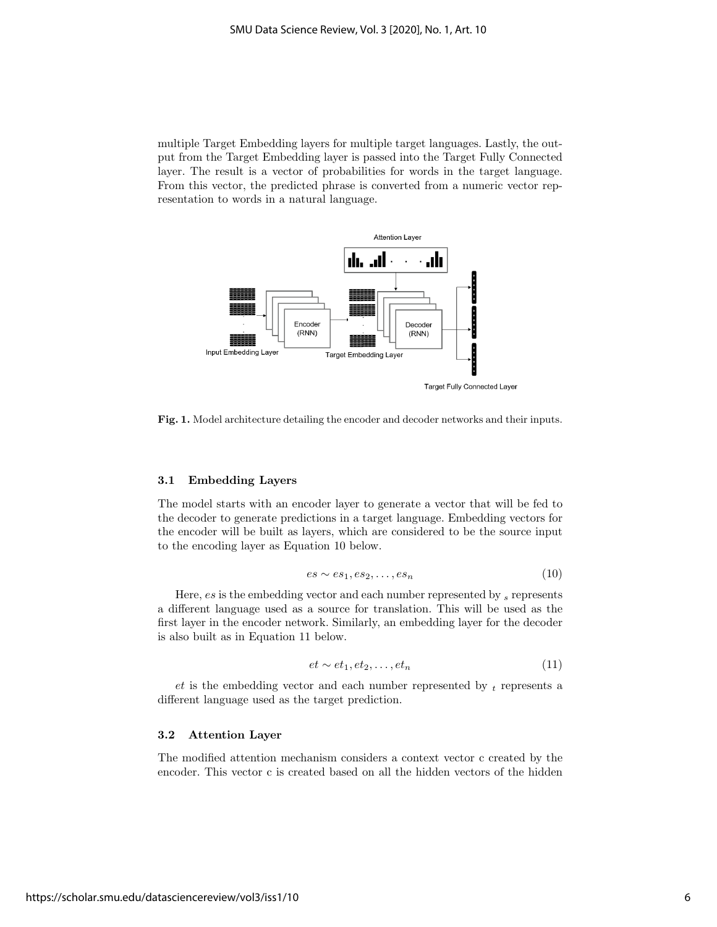multiple Target Embedding layers for multiple target languages. Lastly, the output from the Target Embedding layer is passed into the Target Fully Connected layer. The result is a vector of probabilities for words in the target language. From this vector, the predicted phrase is converted from a numeric vector representation to words in a natural language.



Fig. 1. Model architecture detailing the encoder and decoder networks and their inputs.

#### 3.1 Embedding Layers

The model starts with an encoder layer to generate a vector that will be fed to the decoder to generate predictions in a target language. Embedding vectors for the encoder will be built as layers, which are considered to be the source input to the encoding layer as Equation 10 below.

$$
es \sim es_1, es_2, \dots, es_n \tag{10}
$$

Here,  $es$  is the embedding vector and each number represented by  $s$  represents a different language used as a source for translation. This will be used as the first layer in the encoder network. Similarly, an embedding layer for the decoder is also built as in Equation 11 below.

$$
et \sim et_1, et_2, \dots, et_n \tag{11}
$$

 $et$  is the embedding vector and each number represented by  $t$  represents a different language used as the target prediction.

#### 3.2 Attention Layer

The modified attention mechanism considers a context vector c created by the encoder. This vector c is created based on all the hidden vectors of the hidden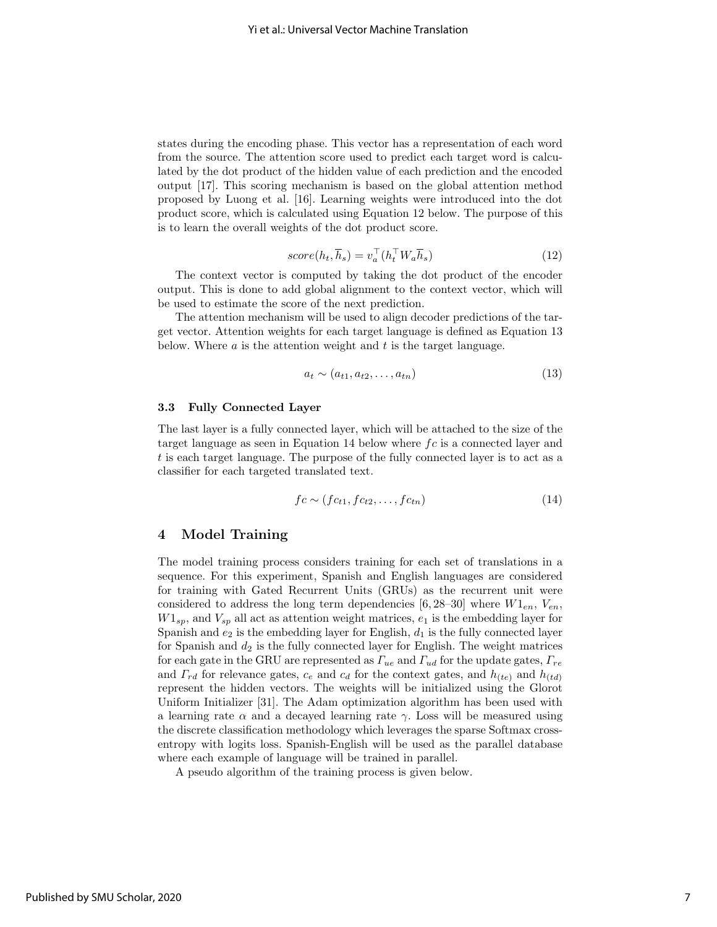states during the encoding phase. This vector has a representation of each word from the source. The attention score used to predict each target word is calculated by the dot product of the hidden value of each prediction and the encoded output [17]. This scoring mechanism is based on the global attention method proposed by Luong et al. [16]. Learning weights were introduced into the dot product score, which is calculated using Equation 12 below. The purpose of this is to learn the overall weights of the dot product score.

$$
score(h_t, \overline{h}_s) = v_a^{\top}(h_t^{\top} W_a \overline{h}_s)
$$
\n(12)

The context vector is computed by taking the dot product of the encoder output. This is done to add global alignment to the context vector, which will be used to estimate the score of the next prediction.

The attention mechanism will be used to align decoder predictions of the target vector. Attention weights for each target language is defined as Equation 13 below. Where  $\alpha$  is the attention weight and  $t$  is the target language.

$$
a_t \sim (a_{t1}, a_{t2}, \dots, a_{tn}) \tag{13}
$$

#### 3.3 Fully Connected Layer

The last layer is a fully connected layer, which will be attached to the size of the target language as seen in Equation 14 below where  $fc$  is a connected layer and t is each target language. The purpose of the fully connected layer is to act as a classifier for each targeted translated text.

$$
fc \sim (fc_{t1}, fc_{t2}, \dots, fc_{tn})
$$
\n
$$
(14)
$$

# 4 Model Training

The model training process considers training for each set of translations in a sequence. For this experiment, Spanish and English languages are considered for training with Gated Recurrent Units (GRUs) as the recurrent unit were considered to address the long term dependencies [6, 28–30] where  $W1_{en}$ ,  $V_{en}$ ,  $W1_{sp}$ , and  $V_{sp}$  all act as attention weight matrices,  $e_1$  is the embedding layer for Spanish and  $e_2$  is the embedding layer for English,  $d_1$  is the fully connected layer for Spanish and  $d_2$  is the fully connected layer for English. The weight matrices for each gate in the GRU are represented as  $\Gamma_{ue}$  and  $\Gamma_{ud}$  for the update gates,  $\Gamma_{re}$ and  $\Gamma_{rd}$  for relevance gates,  $c_e$  and  $c_d$  for the context gates, and  $h_{(te)}$  and  $h_{(td)}$ represent the hidden vectors. The weights will be initialized using the Glorot Uniform Initializer [31]. The Adam optimization algorithm has been used with a learning rate  $\alpha$  and a decayed learning rate  $\gamma$ . Loss will be measured using the discrete classification methodology which leverages the sparse Softmax crossentropy with logits loss. Spanish-English will be used as the parallel database where each example of language will be trained in parallel.

A pseudo algorithm of the training process is given below.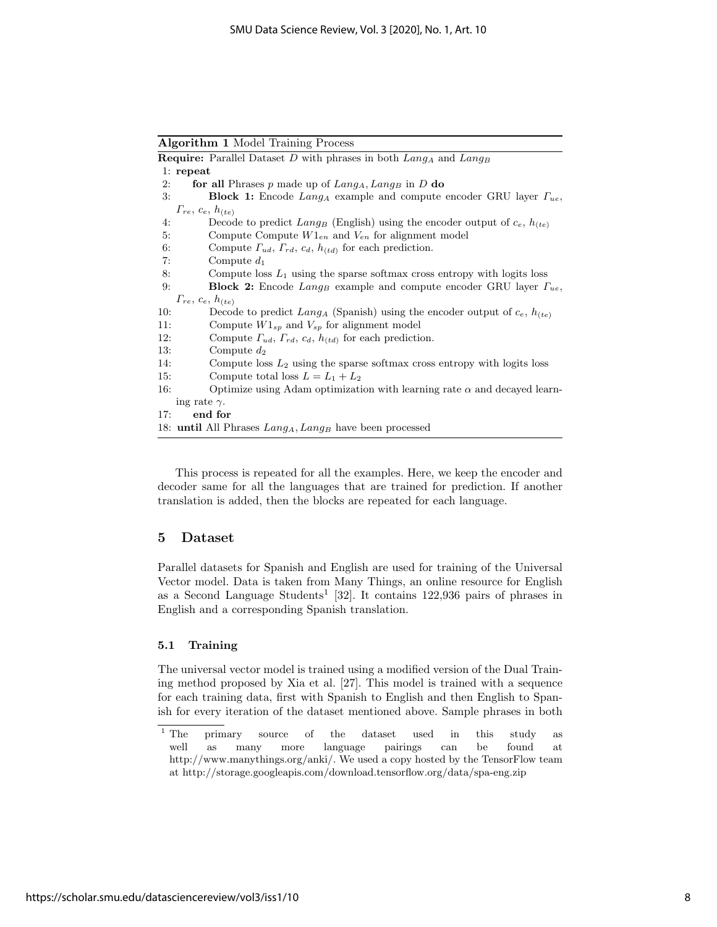Algorithm 1 Model Training Process

|                              | <b>Require:</b> Parallel Dataset D with phrases in both $Lang_A$ and $Lang_B$                  |  |  |  |  |
|------------------------------|------------------------------------------------------------------------------------------------|--|--|--|--|
|                              | $1:$ repeat                                                                                    |  |  |  |  |
| 2:                           | for all Phrases $p$ made up of $Lang_A, Lang_B$ in $D$ do                                      |  |  |  |  |
| 3:                           | <b>Block 1:</b> Encode Lang <sub>A</sub> example and compute encoder GRU layer $\Gamma_{ue}$ , |  |  |  |  |
|                              | $\Gamma_{re}, c_e, h_{(te)}$                                                                   |  |  |  |  |
| 4:                           | Decode to predict $Lang_B$ (English) using the encoder output of $c_e$ , $h_{(te)}$            |  |  |  |  |
| 5:                           | Compute Compute $W1_{en}$ and $V_{en}$ for alignment model                                     |  |  |  |  |
| 6:                           | Compute $\Gamma_{ud}$ , $\Gamma_{rd}$ , $c_d$ , $h_{(td)}$ for each prediction.                |  |  |  |  |
| 7:                           | Compute $d_1$                                                                                  |  |  |  |  |
| 8:                           | Compute loss $L_1$ using the sparse softmax cross entropy with logits loss                     |  |  |  |  |
| 9:                           | <b>Block 2:</b> Encode $Lang_B$ example and compute encoder GRU layer $\Gamma_{ue}$ ,          |  |  |  |  |
| $\Gamma_{re}, c_e, h_{(te)}$ |                                                                                                |  |  |  |  |
| 10:                          | Decode to predict $Lang_A$ (Spanish) using the encoder output of $c_e$ , $h_{(te)}$            |  |  |  |  |
| 11:                          | Compute $W1_{sp}$ and $V_{sp}$ for alignment model                                             |  |  |  |  |
| 12:                          | Compute $\Gamma_{ud}$ , $\Gamma_{rd}$ , $c_d$ , $h_{(td)}$ for each prediction.                |  |  |  |  |
| 13:                          | Compute $d_2$                                                                                  |  |  |  |  |
| 14:                          | Compute loss $L_2$ using the sparse softmax cross entropy with logits loss                     |  |  |  |  |
| 15:                          | Compute total loss $L = L_1 + L_2$                                                             |  |  |  |  |
| 16:                          | Optimize using Adam optimization with learning rate $\alpha$ and decayed learn-                |  |  |  |  |
|                              | ing rate $\gamma$ .                                                                            |  |  |  |  |
| 17:                          | end for                                                                                        |  |  |  |  |
|                              | 18: <b>until</b> All Phrases $Lang_A, Lang_B$ have been processed                              |  |  |  |  |

This process is repeated for all the examples. Here, we keep the encoder and decoder same for all the languages that are trained for prediction. If another translation is added, then the blocks are repeated for each language.

# 5 Dataset

Parallel datasets for Spanish and English are used for training of the Universal Vector model. Data is taken from Many Things, an online resource for English as a Second Language Students<sup>1</sup> [32]. It contains  $122,936$  pairs of phrases in English and a corresponding Spanish translation.

#### 5.1 Training

The universal vector model is trained using a modified version of the Dual Training method proposed by Xia et al. [27]. This model is trained with a sequence for each training data, first with Spanish to English and then English to Spanish for every iteration of the dataset mentioned above. Sample phrases in both

<sup>&</sup>lt;sup>1</sup> The primary source of the dataset used in this study as well as many more language pairings can be found at http://www.manythings.org/anki/. We used a copy hosted by the TensorFlow team at http://storage.googleapis.com/download.tensorflow.org/data/spa-eng.zip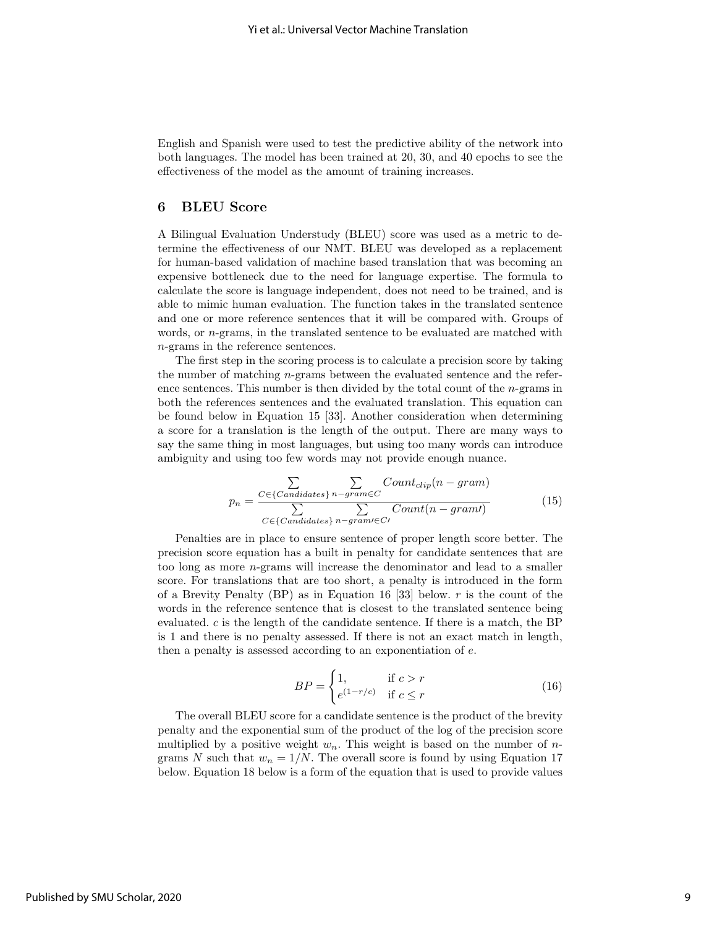English and Spanish were used to test the predictive ability of the network into both languages. The model has been trained at 20, 30, and 40 epochs to see the effectiveness of the model as the amount of training increases.

## 6 BLEU Score

A Bilingual Evaluation Understudy (BLEU) score was used as a metric to determine the effectiveness of our NMT. BLEU was developed as a replacement for human-based validation of machine based translation that was becoming an expensive bottleneck due to the need for language expertise. The formula to calculate the score is language independent, does not need to be trained, and is able to mimic human evaluation. The function takes in the translated sentence and one or more reference sentences that it will be compared with. Groups of words, or  $n$ -grams, in the translated sentence to be evaluated are matched with n-grams in the reference sentences.

The first step in the scoring process is to calculate a precision score by taking the number of matching n-grams between the evaluated sentence and the reference sentences. This number is then divided by the total count of the  $n$ -grams in both the references sentences and the evaluated translation. This equation can be found below in Equation 15 [33]. Another consideration when determining a score for a translation is the length of the output. There are many ways to say the same thing in most languages, but using too many words can introduce ambiguity and using too few words may not provide enough nuance.

$$
p_n = \frac{\sum\limits_{C \in \{C \text{andidates}\}} \sum\limits_{n-gram \in C} Count_{clip}(n-gram)}{\sum\limits_{C \in \{C \text{andidates}\}} \sum\limits_{n-gram \in C'} Count(n-gram)} \tag{15}
$$

Penalties are in place to ensure sentence of proper length score better. The precision score equation has a built in penalty for candidate sentences that are too long as more n-grams will increase the denominator and lead to a smaller score. For translations that are too short, a penalty is introduced in the form of a Brevity Penalty (BP) as in Equation 16 [33] below.  $r$  is the count of the words in the reference sentence that is closest to the translated sentence being evaluated. c is the length of the candidate sentence. If there is a match, the BP is 1 and there is no penalty assessed. If there is not an exact match in length, then a penalty is assessed according to an exponentiation of e.

$$
BP = \begin{cases} 1, & \text{if } c > r \\ e^{(1-r/c)} & \text{if } c \le r \end{cases} \tag{16}
$$

The overall BLEU score for a candidate sentence is the product of the brevity penalty and the exponential sum of the product of the log of the precision score multiplied by a positive weight  $w_n$ . This weight is based on the number of ngrams N such that  $w_n = 1/N$ . The overall score is found by using Equation 17 below. Equation 18 below is a form of the equation that is used to provide values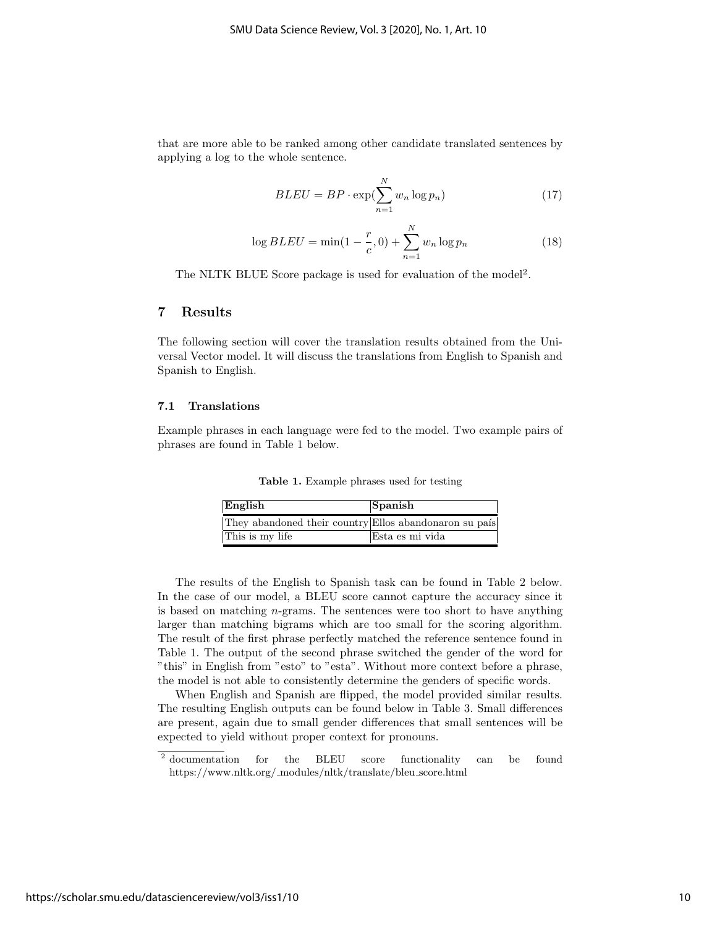that are more able to be ranked among other candidate translated sentences by applying a log to the whole sentence.

$$
BLEU = BP \cdot \exp(\sum_{n=1}^{N} w_n \log p_n)
$$
 (17)

$$
\log BLEU = \min(1 - \frac{r}{c}, 0) + \sum_{n=1}^{N} w_n \log p_n \tag{18}
$$

The NLTK BLUE Score package is used for evaluation of the model<sup>2</sup>.

# 7 Results

The following section will cover the translation results obtained from the Universal Vector model. It will discuss the translations from English to Spanish and Spanish to English.

#### 7.1 Translations

Example phrases in each language were fed to the model. Two example pairs of phrases are found in Table 1 below.

Table 1. Example phrases used for testing

| English                                                | Spanish         |
|--------------------------------------------------------|-----------------|
| They abandoned their country Ellos abandonaron su país |                 |
| This is my life                                        | Esta es mi vida |

The results of the English to Spanish task can be found in Table 2 below. In the case of our model, a BLEU score cannot capture the accuracy since it is based on matching n-grams. The sentences were too short to have anything larger than matching bigrams which are too small for the scoring algorithm. The result of the first phrase perfectly matched the reference sentence found in Table 1. The output of the second phrase switched the gender of the word for "this" in English from "esto" to "esta". Without more context before a phrase, the model is not able to consistently determine the genders of specific words.

When English and Spanish are flipped, the model provided similar results. The resulting English outputs can be found below in Table 3. Small differences are present, again due to small gender differences that small sentences will be expected to yield without proper context for pronouns.

<sup>&</sup>lt;sup>2</sup> documentation for the BLEU score functionality can be found https://www.nltk.org/ modules/nltk/translate/bleu score.html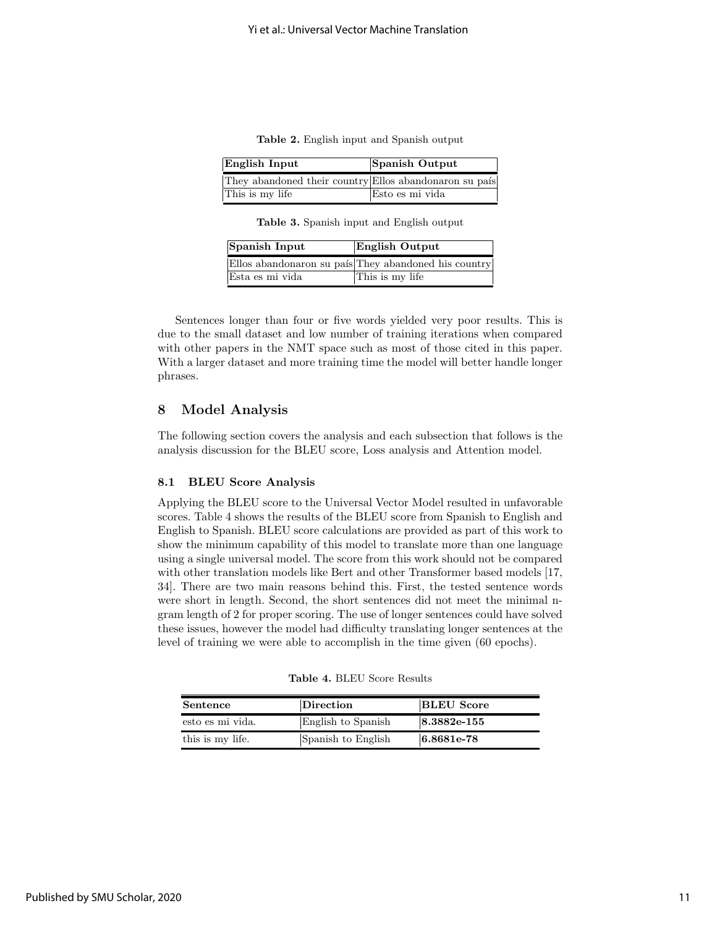Table 2. English input and Spanish output

| English Input                                          | Spanish Output  |
|--------------------------------------------------------|-----------------|
| They abandoned their country Ellos abandonaron su país |                 |
| This is my life                                        | Esto es mi vida |

Table 3. Spanish input and English output

| Spanish Input   | <b>English Output</b>                                |
|-----------------|------------------------------------------------------|
|                 | Ellos abandonaron su país They abandoned his country |
| Esta es mi vida | This is my life                                      |

Sentences longer than four or five words yielded very poor results. This is due to the small dataset and low number of training iterations when compared with other papers in the NMT space such as most of those cited in this paper. With a larger dataset and more training time the model will better handle longer phrases.

## 8 Model Analysis

The following section covers the analysis and each subsection that follows is the analysis discussion for the BLEU score, Loss analysis and Attention model.

# 8.1 BLEU Score Analysis

Applying the BLEU score to the Universal Vector Model resulted in unfavorable scores. Table 4 shows the results of the BLEU score from Spanish to English and English to Spanish. BLEU score calculations are provided as part of this work to show the minimum capability of this model to translate more than one language using a single universal model. The score from this work should not be compared with other translation models like Bert and other Transformer based models [17, 34]. There are two main reasons behind this. First, the tested sentence words were short in length. Second, the short sentences did not meet the minimal ngram length of 2 for proper scoring. The use of longer sentences could have solved these issues, however the model had difficulty translating longer sentences at the level of training we were able to accomplish in the time given (60 epochs).

| Sentence         | $\bm{\mathrm{Direction}}$ | <b>BLEU</b> Score |
|------------------|---------------------------|-------------------|
| esto es mi vida. | English to Spanish        | $ 8.3882e-155$    |
| this is my life. | Spanish to English        | $6.8681e-78$      |

Table 4. BLEU Score Results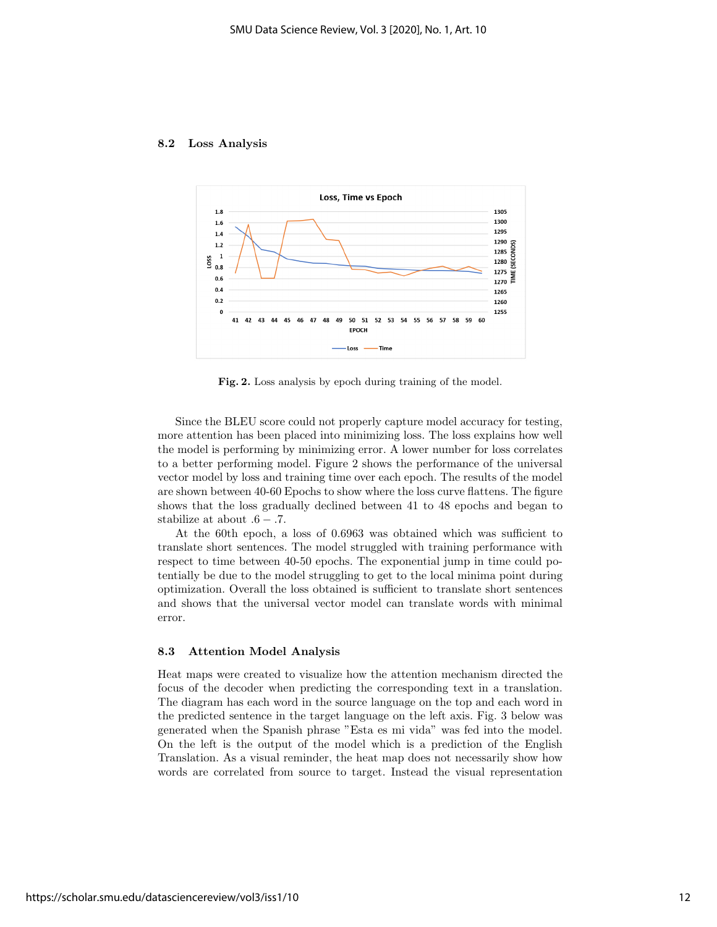



Fig. 2. Loss analysis by epoch during training of the model.

Since the BLEU score could not properly capture model accuracy for testing, more attention has been placed into minimizing loss. The loss explains how well the model is performing by minimizing error. A lower number for loss correlates to a better performing model. Figure 2 shows the performance of the universal vector model by loss and training time over each epoch. The results of the model are shown between 40-60 Epochs to show where the loss curve flattens. The figure shows that the loss gradually declined between 41 to 48 epochs and began to stabilize at about  $.6 - .7$ .

At the 60th epoch, a loss of 0.6963 was obtained which was sufficient to translate short sentences. The model struggled with training performance with respect to time between 40-50 epochs. The exponential jump in time could potentially be due to the model struggling to get to the local minima point during optimization. Overall the loss obtained is sufficient to translate short sentences and shows that the universal vector model can translate words with minimal error.

#### 8.3 Attention Model Analysis

Heat maps were created to visualize how the attention mechanism directed the focus of the decoder when predicting the corresponding text in a translation. The diagram has each word in the source language on the top and each word in the predicted sentence in the target language on the left axis. Fig. 3 below was generated when the Spanish phrase "Esta es mi vida" was fed into the model. On the left is the output of the model which is a prediction of the English Translation. As a visual reminder, the heat map does not necessarily show how words are correlated from source to target. Instead the visual representation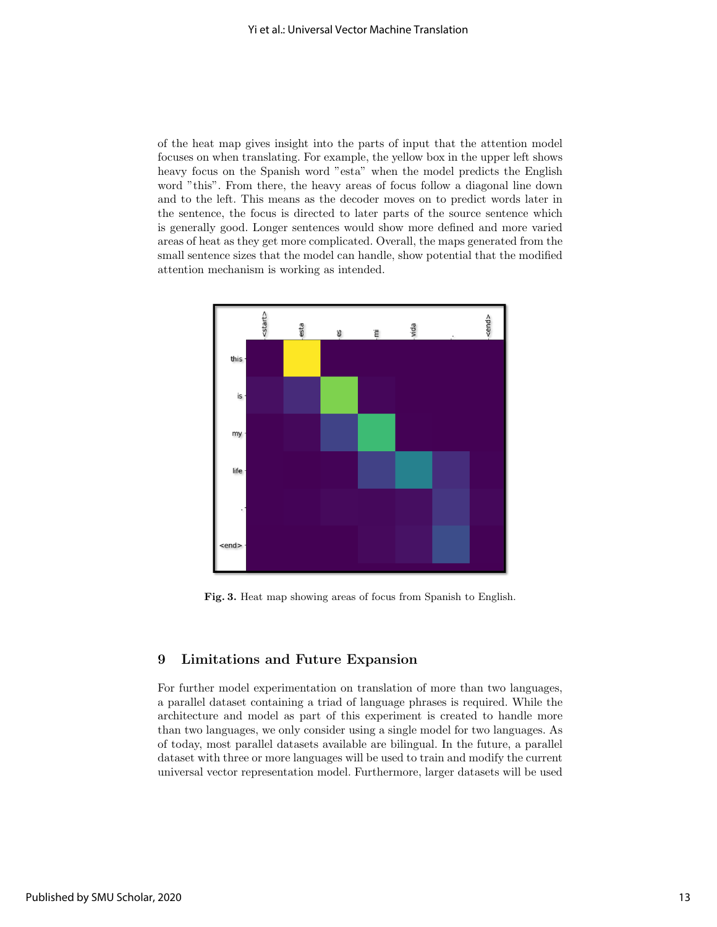of the heat map gives insight into the parts of input that the attention model focuses on when translating. For example, the yellow box in the upper left shows heavy focus on the Spanish word "esta" when the model predicts the English word "this". From there, the heavy areas of focus follow a diagonal line down and to the left. This means as the decoder moves on to predict words later in the sentence, the focus is directed to later parts of the source sentence which is generally good. Longer sentences would show more defined and more varied areas of heat as they get more complicated. Overall, the maps generated from the small sentence sizes that the model can handle, show potential that the modified attention mechanism is working as intended.



Fig. 3. Heat map showing areas of focus from Spanish to English.

# 9 Limitations and Future Expansion

For further model experimentation on translation of more than two languages, a parallel dataset containing a triad of language phrases is required. While the architecture and model as part of this experiment is created to handle more than two languages, we only consider using a single model for two languages. As of today, most parallel datasets available are bilingual. In the future, a parallel dataset with three or more languages will be used to train and modify the current universal vector representation model. Furthermore, larger datasets will be used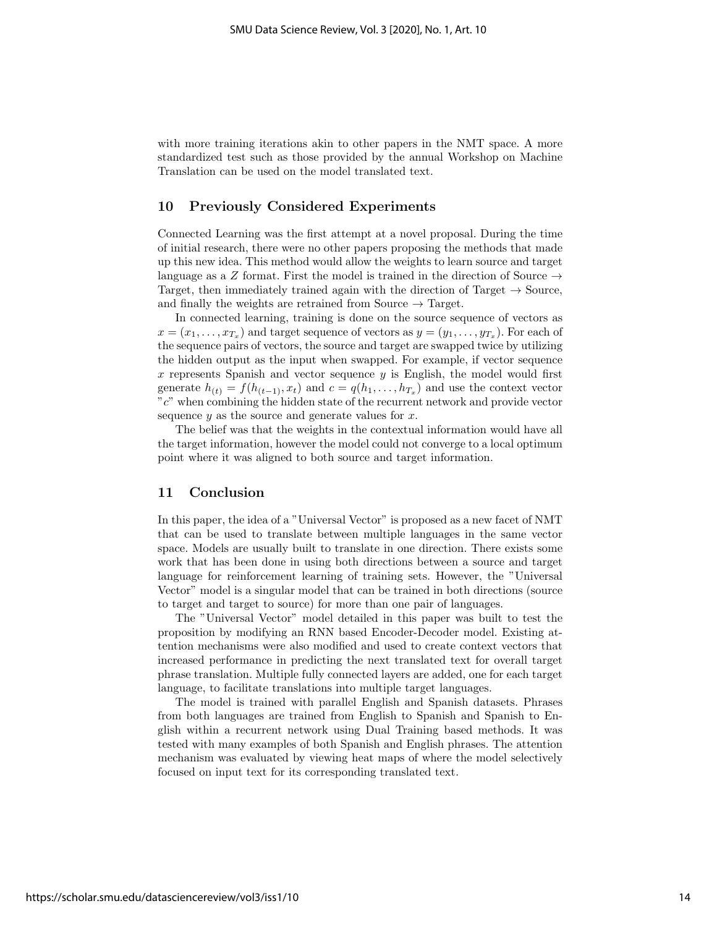with more training iterations akin to other papers in the NMT space. A more standardized test such as those provided by the annual Workshop on Machine Translation can be used on the model translated text.

# 10 Previously Considered Experiments

Connected Learning was the first attempt at a novel proposal. During the time of initial research, there were no other papers proposing the methods that made up this new idea. This method would allow the weights to learn source and target language as a Z format. First the model is trained in the direction of Source  $\rightarrow$ Target, then immediately trained again with the direction of Target  $\rightarrow$  Source, and finally the weights are retrained from Source  $\rightarrow$  Target.

In connected learning, training is done on the source sequence of vectors as  $x = (x_1, \ldots, x_{T_x})$  and target sequence of vectors as  $y = (y_1, \ldots, y_{T_x})$ . For each of the sequence pairs of vectors, the source and target are swapped twice by utilizing the hidden output as the input when swapped. For example, if vector sequence  $x$  represents Spanish and vector sequence  $y$  is English, the model would first generate  $h_{(t)} = f(h_{(t-1)}, x_t)$  and  $c = q(h_1, \ldots, h_{T_x})$  and use the context vector "c" when combining the hidden state of the recurrent network and provide vector sequence  $y$  as the source and generate values for  $x$ .

The belief was that the weights in the contextual information would have all the target information, however the model could not converge to a local optimum point where it was aligned to both source and target information.

#### 11 Conclusion

In this paper, the idea of a "Universal Vector" is proposed as a new facet of NMT that can be used to translate between multiple languages in the same vector space. Models are usually built to translate in one direction. There exists some work that has been done in using both directions between a source and target language for reinforcement learning of training sets. However, the "Universal Vector" model is a singular model that can be trained in both directions (source to target and target to source) for more than one pair of languages.

The "Universal Vector" model detailed in this paper was built to test the proposition by modifying an RNN based Encoder-Decoder model. Existing attention mechanisms were also modified and used to create context vectors that increased performance in predicting the next translated text for overall target phrase translation. Multiple fully connected layers are added, one for each target language, to facilitate translations into multiple target languages.

The model is trained with parallel English and Spanish datasets. Phrases from both languages are trained from English to Spanish and Spanish to English within a recurrent network using Dual Training based methods. It was tested with many examples of both Spanish and English phrases. The attention mechanism was evaluated by viewing heat maps of where the model selectively focused on input text for its corresponding translated text.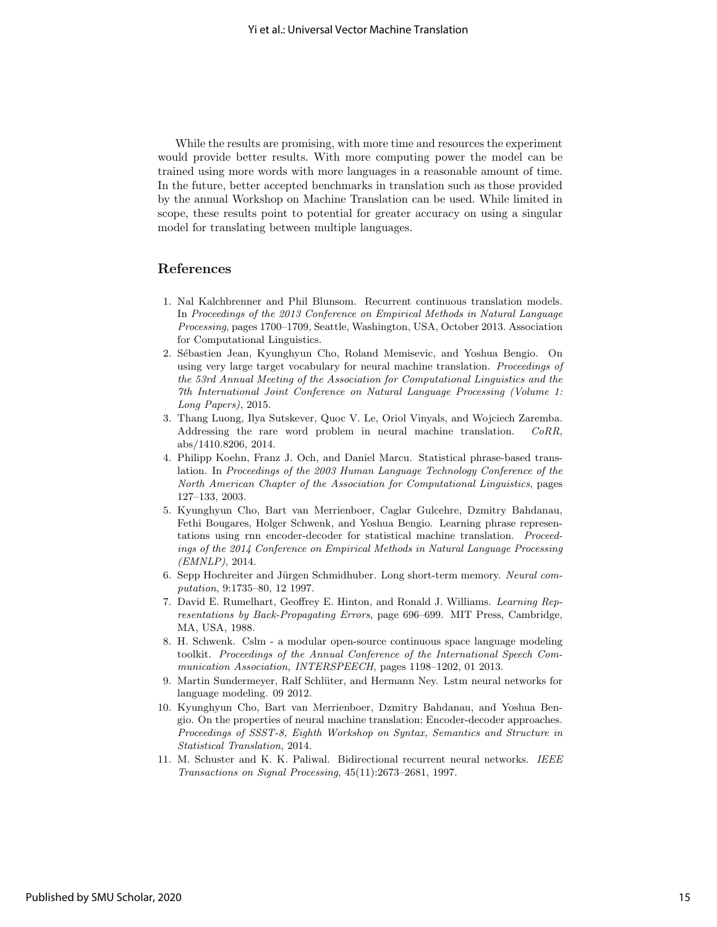While the results are promising, with more time and resources the experiment would provide better results. With more computing power the model can be trained using more words with more languages in a reasonable amount of time. In the future, better accepted benchmarks in translation such as those provided by the annual Workshop on Machine Translation can be used. While limited in scope, these results point to potential for greater accuracy on using a singular model for translating between multiple languages.

# References

- 1. Nal Kalchbrenner and Phil Blunsom. Recurrent continuous translation models. In Proceedings of the 2013 Conference on Empirical Methods in Natural Language Processing, pages 1700–1709, Seattle, Washington, USA, October 2013. Association for Computational Linguistics.
- 2. Sébastien Jean, Kyunghyun Cho, Roland Memisevic, and Yoshua Bengio. On using very large target vocabulary for neural machine translation. Proceedings of the 53rd Annual Meeting of the Association for Computational Linguistics and the 7th International Joint Conference on Natural Language Processing (Volume 1: Long Papers), 2015.
- 3. Thang Luong, Ilya Sutskever, Quoc V. Le, Oriol Vinyals, and Wojciech Zaremba. Addressing the rare word problem in neural machine translation. CoRR, abs/1410.8206, 2014.
- 4. Philipp Koehn, Franz J. Och, and Daniel Marcu. Statistical phrase-based translation. In Proceedings of the 2003 Human Language Technology Conference of the North American Chapter of the Association for Computational Linguistics, pages 127–133, 2003.
- 5. Kyunghyun Cho, Bart van Merrienboer, Caglar Gulcehre, Dzmitry Bahdanau, Fethi Bougares, Holger Schwenk, and Yoshua Bengio. Learning phrase representations using rnn encoder-decoder for statistical machine translation. Proceedings of the 2014 Conference on Empirical Methods in Natural Language Processing (EMNLP), 2014.
- 6. Sepp Hochreiter and Jürgen Schmidhuber. Long short-term memory. Neural computation, 9:1735–80, 12 1997.
- 7. David E. Rumelhart, Geoffrey E. Hinton, and Ronald J. Williams. Learning Representations by Back-Propagating Errors, page 696–699. MIT Press, Cambridge, MA, USA, 1988.
- 8. H. Schwenk. Cslm a modular open-source continuous space language modeling toolkit. Proceedings of the Annual Conference of the International Speech Communication Association, INTERSPEECH, pages 1198–1202, 01 2013.
- 9. Martin Sundermeyer, Ralf Schlüter, and Hermann Ney. Lstm neural networks for language modeling. 09 2012.
- 10. Kyunghyun Cho, Bart van Merrienboer, Dzmitry Bahdanau, and Yoshua Bengio. On the properties of neural machine translation: Encoder-decoder approaches. Proceedings of SSST-8, Eighth Workshop on Syntax, Semantics and Structure in Statistical Translation, 2014.
- 11. M. Schuster and K. K. Paliwal. Bidirectional recurrent neural networks. IEEE Transactions on Signal Processing, 45(11):2673–2681, 1997.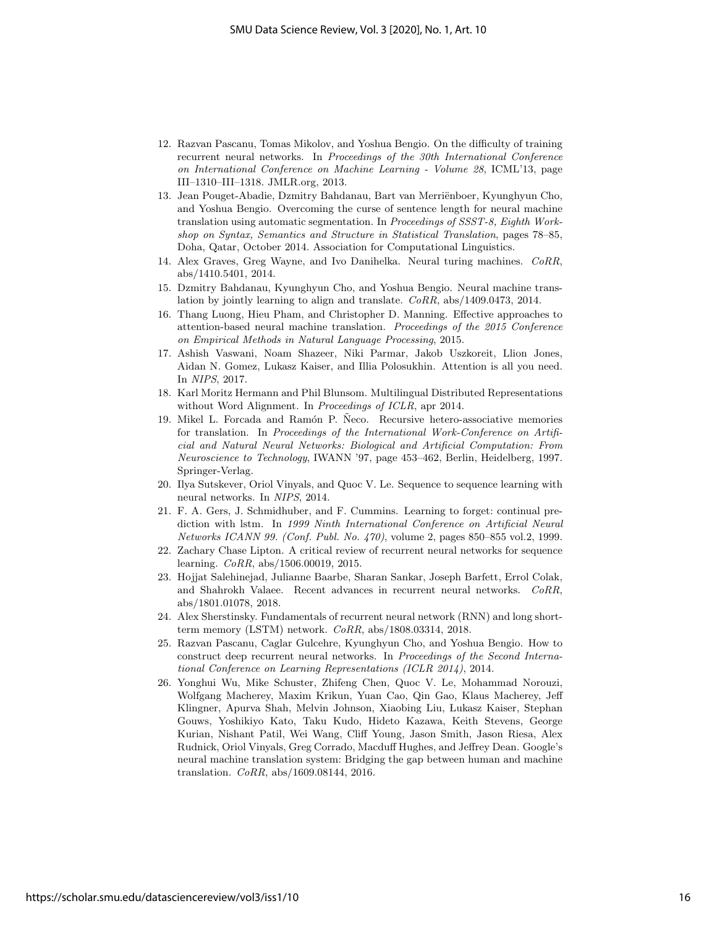- 12. Razvan Pascanu, Tomas Mikolov, and Yoshua Bengio. On the difficulty of training recurrent neural networks. In Proceedings of the 30th International Conference on International Conference on Machine Learning - Volume 28, ICML'13, page III–1310–III–1318. JMLR.org, 2013.
- 13. Jean Pouget-Abadie, Dzmitry Bahdanau, Bart van Merriënboer, Kyunghyun Cho, and Yoshua Bengio. Overcoming the curse of sentence length for neural machine translation using automatic segmentation. In Proceedings of SSST-8, Eighth Workshop on Syntax, Semantics and Structure in Statistical Translation, pages 78–85, Doha, Qatar, October 2014. Association for Computational Linguistics.
- 14. Alex Graves, Greg Wayne, and Ivo Danihelka. Neural turing machines. CoRR, abs/1410.5401, 2014.
- 15. Dzmitry Bahdanau, Kyunghyun Cho, and Yoshua Bengio. Neural machine translation by jointly learning to align and translate. CoRR, abs/1409.0473, 2014.
- 16. Thang Luong, Hieu Pham, and Christopher D. Manning. Effective approaches to attention-based neural machine translation. Proceedings of the 2015 Conference on Empirical Methods in Natural Language Processing, 2015.
- 17. Ashish Vaswani, Noam Shazeer, Niki Parmar, Jakob Uszkoreit, Llion Jones, Aidan N. Gomez, Lukasz Kaiser, and Illia Polosukhin. Attention is all you need. In NIPS, 2017.
- 18. Karl Moritz Hermann and Phil Blunsom. Multilingual Distributed Representations without Word Alignment. In Proceedings of ICLR, apr 2014.
- 19. Mikel L. Forcada and Ramón P. Neco. Recursive hetero-associative memories for translation. In Proceedings of the International Work-Conference on Artificial and Natural Neural Networks: Biological and Artificial Computation: From Neuroscience to Technology, IWANN '97, page 453–462, Berlin, Heidelberg, 1997. Springer-Verlag.
- 20. Ilya Sutskever, Oriol Vinyals, and Quoc V. Le. Sequence to sequence learning with neural networks. In NIPS, 2014.
- 21. F. A. Gers, J. Schmidhuber, and F. Cummins. Learning to forget: continual prediction with lstm. In 1999 Ninth International Conference on Artificial Neural Networks ICANN 99. (Conf. Publ. No. 470), volume 2, pages 850–855 vol.2, 1999.
- 22. Zachary Chase Lipton. A critical review of recurrent neural networks for sequence learning. CoRR, abs/1506.00019, 2015.
- 23. Hojjat Salehinejad, Julianne Baarbe, Sharan Sankar, Joseph Barfett, Errol Colak, and Shahrokh Valaee. Recent advances in recurrent neural networks. CoRR, abs/1801.01078, 2018.
- 24. Alex Sherstinsky. Fundamentals of recurrent neural network (RNN) and long shortterm memory (LSTM) network. CoRR, abs/1808.03314, 2018.
- 25. Razvan Pascanu, Caglar Gulcehre, Kyunghyun Cho, and Yoshua Bengio. How to construct deep recurrent neural networks. In Proceedings of the Second International Conference on Learning Representations (ICLR 2014), 2014.
- 26. Yonghui Wu, Mike Schuster, Zhifeng Chen, Quoc V. Le, Mohammad Norouzi, Wolfgang Macherey, Maxim Krikun, Yuan Cao, Qin Gao, Klaus Macherey, Jeff Klingner, Apurva Shah, Melvin Johnson, Xiaobing Liu, Lukasz Kaiser, Stephan Gouws, Yoshikiyo Kato, Taku Kudo, Hideto Kazawa, Keith Stevens, George Kurian, Nishant Patil, Wei Wang, Cliff Young, Jason Smith, Jason Riesa, Alex Rudnick, Oriol Vinyals, Greg Corrado, Macduff Hughes, and Jeffrey Dean. Google's neural machine translation system: Bridging the gap between human and machine translation. CoRR, abs/1609.08144, 2016.